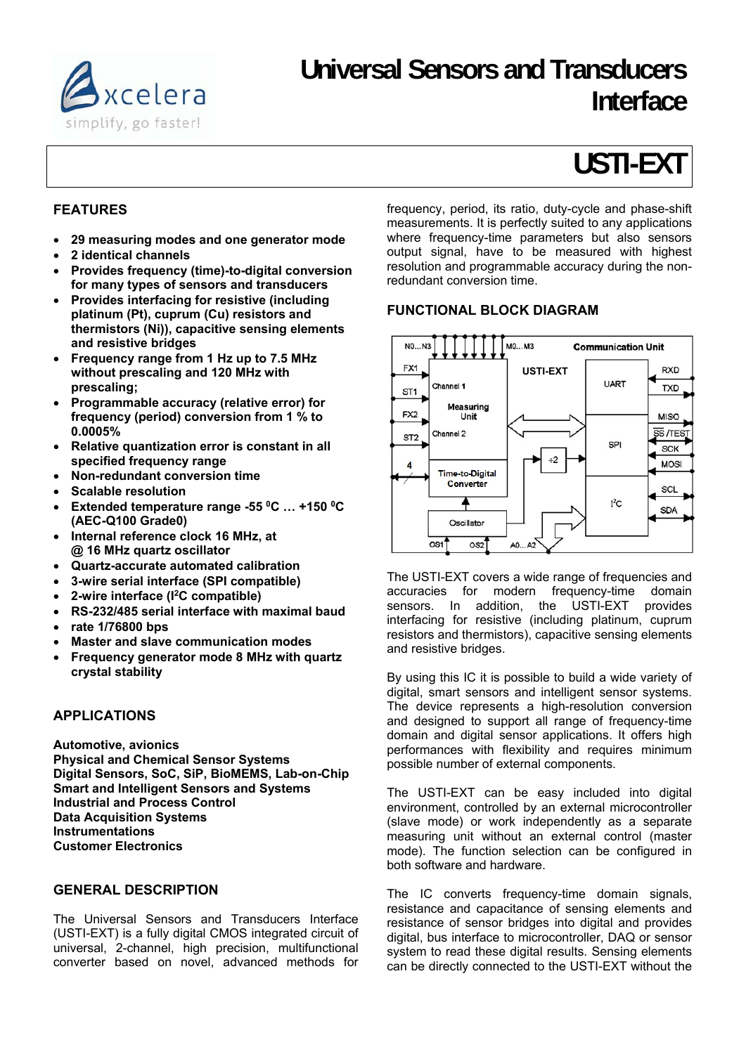

# **Universal Sensors and Transducers Interface**

# **USTI-EXT**

# **FEATURES**

- **29 measuring modes and one generator mode**
- **2 identical channels**
- **Provides frequency (time)-to-digital conversion for many types of sensors and transducers**
- **Provides interfacing for resistive (including platinum (Pt), cuprum (Cu) resistors and thermistors (Ni)), capacitive sensing elements and resistive bridges**
- **Frequency range from 1 Hz up to 7.5 MHz without prescaling and 120 MHz with prescaling;**
- **Programmable accuracy (relative error) for frequency (period) conversion from 1 % to 0.0005%**
- **Relative quantization error is constant in all specified frequency range**
- **Non-redundant conversion time**
- **Scalable resolution**
- **Extended temperature range -55 0C … +150 0C (AEC-Q100 Grade0)**
- **Internal reference clock 16 MHz, at @ 16 MHz quartz oscillator**
- **Quartz-accurate automated calibration**
- **3-wire serial interface (SPI compatible)**
- **2-wire interface (I2C compatible)**
- **RS-232/485 serial interface with maximal baud**
- **rate 1/76800 bps**
- **Master and slave communication modes**
- **Frequency generator mode 8 MHz with quartz crystal stability**

#### **APPLICATIONS**

**Automotive, avionics Physical and Chemical Sensor Systems Digital Sensors, SoC, SiP, BioMEMS, Lab-on-Chip Smart and Intelligent Sensors and Systems Industrial and Process Control Data Acquisition Systems Instrumentations Customer Electronics** 

#### **GENERAL DESCRIPTION**

The Universal Sensors and Transducers Interface (USTI-EXT) is a fully digital CMOS integrated circuit of universal, 2-channel, high precision, multifunctional converter based on novel, advanced methods for frequency, period, its ratio, duty-cycle and phase-shift measurements. It is perfectly suited to any applications where frequency-time parameters but also sensors output signal, have to be measured with highest resolution and programmable accuracy during the nonredundant conversion time.

# **FUNCTIONAL BLOCK DIAGRAM**



The USTI-EXT covers a wide range of frequencies and accuracies for modern frequency-time domain sensors. In addition, the USTI-EXT provides interfacing for resistive (including platinum, cuprum resistors and thermistors), capacitive sensing elements and resistive bridges.

By using this IC it is possible to build a wide variety of digital, smart sensors and intelligent sensor systems. The device represents a high-resolution conversion and designed to support all range of frequency-time domain and digital sensor applications. It offers high performances with flexibility and requires minimum possible number of external components.

The USTI-EXT can be easy included into digital environment, controlled by an external microcontroller (slave mode) or work independently as a separate measuring unit without an external control (master mode). The function selection can be configured in both software and hardware.

The IC converts frequency-time domain signals, resistance and capacitance of sensing elements and resistance of sensor bridges into digital and provides digital, bus interface to microcontroller, DAQ or sensor system to read these digital results. Sensing elements can be directly connected to the USTI-EXT without the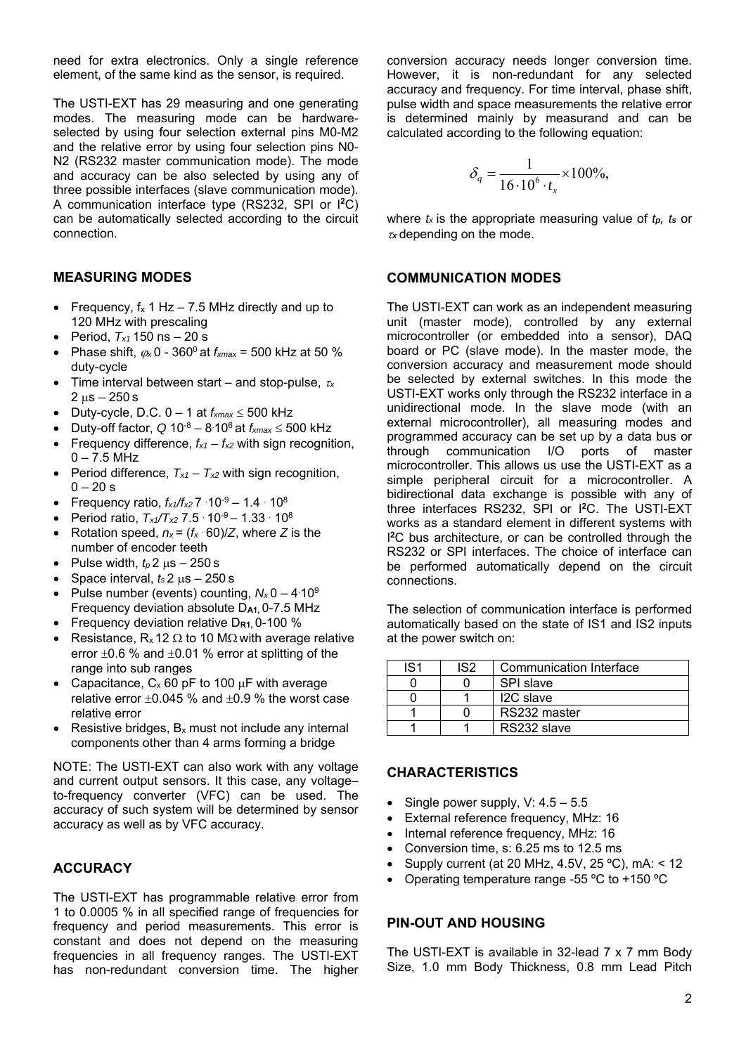need for extra electronics. Only a single reference element, of the same kind as the sensor, is required.

The USTI-EXT has 29 measuring and one generating modes. The measuring mode can be hardwareselected by using four selection external pins M0-M2 and the relative error by using four selection pins N0- N2 (RS232 master communication mode). The mode and accuracy can be also selected by using any of three possible interfaces (slave communication mode). A communication interface type (RS232, SPI or I**<sup>2</sup>**C) can be automatically selected according to the circuit connection.

#### **MEASURING MODES**

- Frequency,  $f_x$  1 Hz 7.5 MHz directly and up to 120 MHz with prescaling
- Period, *Tx1* 150 ns 20 s
- Phase shift,  $\varphi_x$  0 360<sup>0</sup> at  $f_{xmax}$  = 500 kHz at 50 % duty-cycle
- Time interval between start and stop-pulse, *<sup>x</sup>*  $2 \text{ us} - 250 \text{ s}$
- Duty-cycle, D.C.  $0 1$  at  $f_{xmax} \le 500$  kHz
- Duty-off factor,  $Q 10^{-8} 8.10^{6}$  at  $f_{xmax} \le 500$  kHz
- Frequency difference,  $f_{x1} f_{x2}$  with sign recognition,  $0 - 7.5$  MHz
- Period difference,  $T_{x1} T_{x2}$  with sign recognition,  $0 - 20 s$
- Frequency ratio,  $f_{x1}/f_{x2}$ 7  $\cdot$ 10<sup>-9</sup> 1.4  $\cdot$  10<sup>8</sup>
- Period ratio,  $T_{x1}/T_{x2}$  7.5  $\cdot$  10<sup>-9</sup> 1.33  $\cdot$  10<sup>8</sup>
- Rotation speed,  $n_x = (f_x \cdot 60)/Z$ , where *Z* is the number of encoder teeth
- Pulse width,  $t_p$  2  $\mu$ s 250 s
- Space interval,  $t_s$  2  $\mu$ s 250 s
- Pulse number (events) counting,  $N_x$ 0 4:10<sup>9</sup> Frequency deviation absolute D**A1,** 0-7.5 MHz
- Frequency deviation relative D**R1,** 0-100 %
- Resistance,  $R_x$  12  $\Omega$  to 10 M $\Omega$  with average relative error  $\pm 0.6$  % and  $\pm 0.01$  % error at splitting of the range into sub ranges
- Capacitance,  $C_x$  60 pF to 100  $\mu$ F with average relative error  $+0.045$  % and  $+0.9$  % the worst case relative error
- Resistive bridges, Bx must not include any internal components other than 4 arms forming a bridge

NOTE: The USTI-EXT can also work with any voltage and current output sensors. It this case, any voltage– to-frequency converter (VFC) can be used. The accuracy of such system will be determined by sensor accuracy as well as by VFC accuracy.

#### **ACCURACY**

The USTI-EXT has programmable relative error from 1 to 0.0005 % in all specified range of frequencies for frequency and period measurements. This error is constant and does not depend on the measuring frequencies in all frequency ranges. The USTI-EXT has non-redundant conversion time. The higher conversion accuracy needs longer conversion time. However, it is non-redundant for any selected accuracy and frequency. For time interval, phase shift, pulse width and space measurements the relative error is determined mainly by measurand and can be calculated according to the following equation:

$$
\delta_q = \frac{1}{16 \cdot 10^6 \cdot t_x} \times 100\%,
$$

where *tx* is the appropriate measuring value of *tp, ts* or *<sup>x</sup>* depending on the mode.

#### **COMMUNICATION MODES**

The USTI-EXT can work as an independent measuring unit (master mode), controlled by any external microcontroller (or embedded into a sensor), DAQ board or PC (slave mode). In the master mode, the conversion accuracy and measurement mode should be selected by external switches. In this mode the USTI-EXT works only through the RS232 interface in a unidirectional mode. In the slave mode (with an external microcontroller), all measuring modes and programmed accuracy can be set up by a data bus or through communication I/O ports of master microcontroller. This allows us use the USTI-EXT as a simple peripheral circuit for a microcontroller. A bidirectional data exchange is possible with any of three interfaces RS232, SPI or I**<sup>2</sup>**C. The USTI-EXT works as a standard element in different systems with I **<sup>2</sup>**C bus architecture, or can be controlled through the RS232 or SPI interfaces. The choice of interface can be performed automatically depend on the circuit connections.

The selection of communication interface is performed automatically based on the state of IS1 and IS2 inputs at the power switch on:

| IS1 | IS <sub>2</sub> | Communication Interface |
|-----|-----------------|-------------------------|
|     |                 | <b>SPI slave</b>        |
|     |                 | I <sub>2</sub> C slave  |
|     |                 | RS232 master            |
|     |                 | RS232 slave             |

#### **CHARACTERISTICS**

- Single power supply,  $V: 4.5 5.5$
- External reference frequency, MHz: 16
- Internal reference frequency, MHz: 16
- Conversion time, s: 6.25 ms to 12.5 ms
- Supply current (at 20 MHz, 4.5V, 25 ºC), mA: < 12
- Operating temperature range -55 ºC to +150 ºC

#### **PIN-OUT AND HOUSING**

The USTI-EXT is available in 32-lead 7 x 7 mm Body Size, 1.0 mm Body Thickness, 0.8 mm Lead Pitch